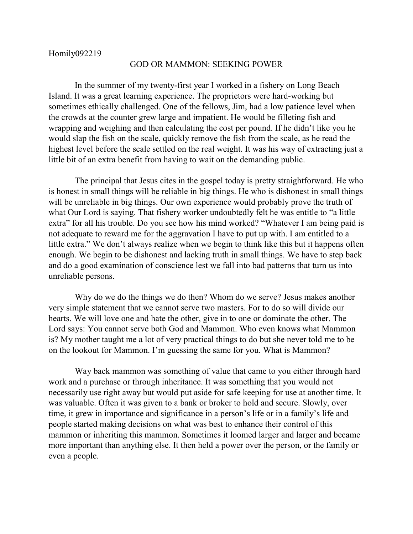## GOD OR MAMMON: SEEKING POWER

 In the summer of my twenty-first year I worked in a fishery on Long Beach Island. It was a great learning experience. The proprietors were hard-working but sometimes ethically challenged. One of the fellows, Jim, had a low patience level when the crowds at the counter grew large and impatient. He would be filleting fish and wrapping and weighing and then calculating the cost per pound. If he didn't like you he would slap the fish on the scale, quickly remove the fish from the scale, as he read the highest level before the scale settled on the real weight. It was his way of extracting just a little bit of an extra benefit from having to wait on the demanding public.

 The principal that Jesus cites in the gospel today is pretty straightforward. He who is honest in small things will be reliable in big things. He who is dishonest in small things will be unreliable in big things. Our own experience would probably prove the truth of what Our Lord is saying. That fishery worker undoubtedly felt he was entitle to "a little extra" for all his trouble. Do you see how his mind worked? "Whatever I am being paid is not adequate to reward me for the aggravation I have to put up with. I am entitled to a little extra." We don't always realize when we begin to think like this but it happens often enough. We begin to be dishonest and lacking truth in small things. We have to step back and do a good examination of conscience lest we fall into bad patterns that turn us into unreliable persons.

 Why do we do the things we do then? Whom do we serve? Jesus makes another very simple statement that we cannot serve two masters. For to do so will divide our hearts. We will love one and hate the other, give in to one or dominate the other. The Lord says: You cannot serve both God and Mammon. Who even knows what Mammon is? My mother taught me a lot of very practical things to do but she never told me to be on the lookout for Mammon. I'm guessing the same for you. What is Mammon?

 Way back mammon was something of value that came to you either through hard work and a purchase or through inheritance. It was something that you would not necessarily use right away but would put aside for safe keeping for use at another time. It was valuable. Often it was given to a bank or broker to hold and secure. Slowly, over time, it grew in importance and significance in a person's life or in a family's life and people started making decisions on what was best to enhance their control of this mammon or inheriting this mammon. Sometimes it loomed larger and larger and became more important than anything else. It then held a power over the person, or the family or even a people.